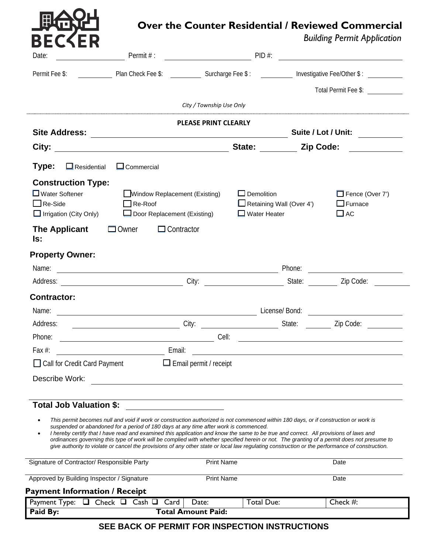|                                                                                                       |                                                                                                                                                                                                                                                                                                                                                                                                                                                                                                                                                                                                                                                                      |                   |                                                                             | <b>Building Permit Application</b>                                                                          |
|-------------------------------------------------------------------------------------------------------|----------------------------------------------------------------------------------------------------------------------------------------------------------------------------------------------------------------------------------------------------------------------------------------------------------------------------------------------------------------------------------------------------------------------------------------------------------------------------------------------------------------------------------------------------------------------------------------------------------------------------------------------------------------------|-------------------|-----------------------------------------------------------------------------|-------------------------------------------------------------------------------------------------------------|
| Date:                                                                                                 |                                                                                                                                                                                                                                                                                                                                                                                                                                                                                                                                                                                                                                                                      |                   |                                                                             |                                                                                                             |
|                                                                                                       |                                                                                                                                                                                                                                                                                                                                                                                                                                                                                                                                                                                                                                                                      |                   | Permit Fee \$: Plan Check Fee \$: Surcharge Fee \$: Network Steed Other \$: |                                                                                                             |
|                                                                                                       |                                                                                                                                                                                                                                                                                                                                                                                                                                                                                                                                                                                                                                                                      |                   |                                                                             | Total Permit Fee \$:                                                                                        |
|                                                                                                       | City / Township Use Only                                                                                                                                                                                                                                                                                                                                                                                                                                                                                                                                                                                                                                             |                   |                                                                             |                                                                                                             |
|                                                                                                       | <b>PLEASE PRINT CLEARLY</b>                                                                                                                                                                                                                                                                                                                                                                                                                                                                                                                                                                                                                                          |                   |                                                                             |                                                                                                             |
|                                                                                                       |                                                                                                                                                                                                                                                                                                                                                                                                                                                                                                                                                                                                                                                                      |                   |                                                                             |                                                                                                             |
|                                                                                                       |                                                                                                                                                                                                                                                                                                                                                                                                                                                                                                                                                                                                                                                                      |                   |                                                                             |                                                                                                             |
| Type:<br>$\Box$ Residential                                                                           | $\Box$ Commercial                                                                                                                                                                                                                                                                                                                                                                                                                                                                                                                                                                                                                                                    |                   |                                                                             |                                                                                                             |
| <b>Construction Type:</b><br>$\Box$ Water Softener<br>$\Box$ Re-Side<br>$\Box$ Irrigation (City Only) | Window Replacement (Existing)<br>$\Box$ Re-Roof<br>Door Replacement (Existing)                                                                                                                                                                                                                                                                                                                                                                                                                                                                                                                                                                                       | $\Box$ Demolition | Retaining Wall (Over 4')<br>$\Box$ Water Heater                             | $\Box$ Fence (Over 7')<br>$\Box$ Furnace<br>$\Box$ AC                                                       |
| <b>The Applicant</b><br>ls:                                                                           | $\Box$ Owner<br>$\Box$ Contractor                                                                                                                                                                                                                                                                                                                                                                                                                                                                                                                                                                                                                                    |                   |                                                                             |                                                                                                             |
| <b>Property Owner:</b>                                                                                |                                                                                                                                                                                                                                                                                                                                                                                                                                                                                                                                                                                                                                                                      |                   |                                                                             |                                                                                                             |
|                                                                                                       |                                                                                                                                                                                                                                                                                                                                                                                                                                                                                                                                                                                                                                                                      |                   |                                                                             |                                                                                                             |
|                                                                                                       |                                                                                                                                                                                                                                                                                                                                                                                                                                                                                                                                                                                                                                                                      |                   |                                                                             |                                                                                                             |
| <b>Contractor:</b>                                                                                    |                                                                                                                                                                                                                                                                                                                                                                                                                                                                                                                                                                                                                                                                      |                   |                                                                             |                                                                                                             |
|                                                                                                       |                                                                                                                                                                                                                                                                                                                                                                                                                                                                                                                                                                                                                                                                      |                   | License/ Bond: <u>_____________________________</u>                         |                                                                                                             |
| Address:                                                                                              | City:                                                                                                                                                                                                                                                                                                                                                                                                                                                                                                                                                                                                                                                                |                   | State:                                                                      | Zip Code:                                                                                                   |
| Phone:                                                                                                | Cell:                                                                                                                                                                                                                                                                                                                                                                                                                                                                                                                                                                                                                                                                |                   |                                                                             | <u> 1980 - Jan Samuel Barbara, martin din samun dan sebagai pertama pertama pertama pertama pertama per</u> |
| Fax $#$ :                                                                                             | Email:                                                                                                                                                                                                                                                                                                                                                                                                                                                                                                                                                                                                                                                               |                   |                                                                             |                                                                                                             |
| □ Call for Credit Card Payment                                                                        | $\Box$ Email permit / receipt                                                                                                                                                                                                                                                                                                                                                                                                                                                                                                                                                                                                                                        |                   |                                                                             |                                                                                                             |
| Describe Work:                                                                                        |                                                                                                                                                                                                                                                                                                                                                                                                                                                                                                                                                                                                                                                                      |                   |                                                                             |                                                                                                             |
| <b>Total Job Valuation \$:</b>                                                                        |                                                                                                                                                                                                                                                                                                                                                                                                                                                                                                                                                                                                                                                                      |                   |                                                                             |                                                                                                             |
| $\bullet$                                                                                             | This permit becomes null and void if work or construction authorized is not commenced within 180 days, or if construction or work is<br>suspended or abandoned for a period of 180 days at any time after work is commenced.<br>I hereby certify that I have read and examined this application and know the same to be true and correct. All provisions of laws and<br>ordinances governing this type of work will be complied with whether specified herein or not. The granting of a permit does not presume to<br>give authority to violate or cancel the provisions of any other state or local law regulating construction or the performance of construction. |                   |                                                                             |                                                                                                             |
|                                                                                                       | <b>Print Name</b>                                                                                                                                                                                                                                                                                                                                                                                                                                                                                                                                                                                                                                                    |                   | Date                                                                        |                                                                                                             |
| Signature of Contractor/ Responsible Party                                                            |                                                                                                                                                                                                                                                                                                                                                                                                                                                                                                                                                                                                                                                                      |                   |                                                                             |                                                                                                             |

# **SEE BACK OF PERMIT FOR INSPECTION INSTRUCTIONS**